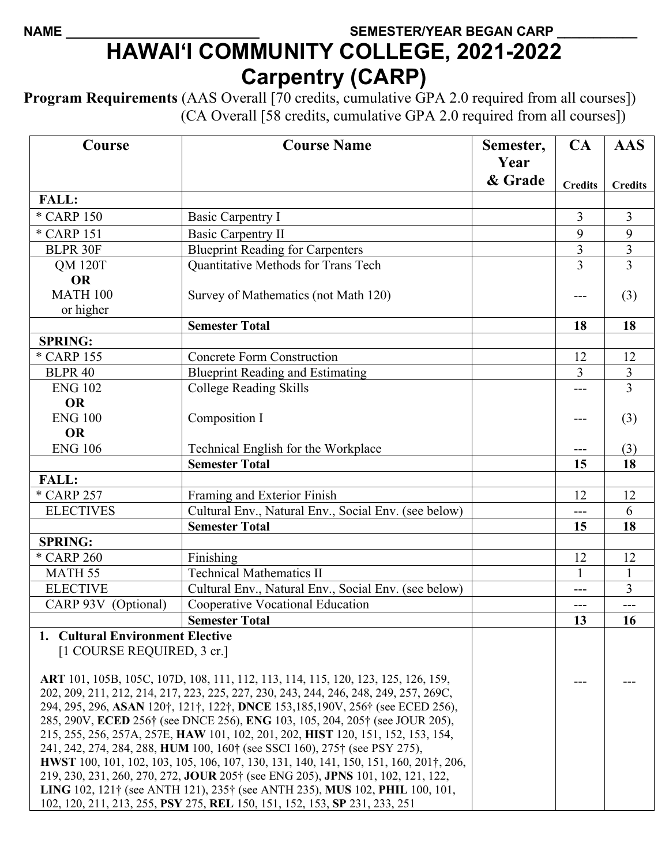## NAME **SEMESTER/YEAR BEGAN CARP HAWAI'I COMMUNITY COLLEGE, 2021-2022 Carpentry (CARP)**

**Program Requirements** (AAS Overall [70 credits, cumulative GPA 2.0 required from all courses]) (CA Overall [58 credits, cumulative GPA 2.0 required from all courses])

| Course                                                                                                                                                                   | <b>Course Name</b>                                                                    | Semester, | CA             | <b>AAS</b>     |
|--------------------------------------------------------------------------------------------------------------------------------------------------------------------------|---------------------------------------------------------------------------------------|-----------|----------------|----------------|
|                                                                                                                                                                          |                                                                                       | Year      |                |                |
|                                                                                                                                                                          |                                                                                       | & Grade   | <b>Credits</b> | <b>Credits</b> |
| <b>FALL:</b>                                                                                                                                                             |                                                                                       |           |                |                |
| * CARP 150                                                                                                                                                               | <b>Basic Carpentry I</b>                                                              |           | $\overline{3}$ | $\overline{3}$ |
| * CARP 151                                                                                                                                                               | <b>Basic Carpentry II</b>                                                             |           | 9              | 9              |
| <b>BLPR 30F</b>                                                                                                                                                          | <b>Blueprint Reading for Carpenters</b>                                               |           | 3              | 3              |
| <b>QM 120T</b>                                                                                                                                                           | Quantitative Methods for Trans Tech                                                   |           | $\overline{3}$ | 3              |
| <b>OR</b>                                                                                                                                                                |                                                                                       |           |                |                |
| <b>MATH 100</b>                                                                                                                                                          | Survey of Mathematics (not Math 120)                                                  |           |                | (3)            |
| or higher                                                                                                                                                                |                                                                                       |           |                |                |
|                                                                                                                                                                          | <b>Semester Total</b>                                                                 |           | 18             | 18             |
| <b>SPRING:</b>                                                                                                                                                           |                                                                                       |           |                |                |
| * CARP 155                                                                                                                                                               | <b>Concrete Form Construction</b>                                                     |           | 12             | 12             |
| <b>BLPR 40</b>                                                                                                                                                           | <b>Blueprint Reading and Estimating</b>                                               |           | 3              | 3              |
| <b>ENG 102</b>                                                                                                                                                           | College Reading Skills                                                                |           |                | 3              |
| <b>OR</b>                                                                                                                                                                |                                                                                       |           |                |                |
| <b>ENG 100</b>                                                                                                                                                           | Composition I                                                                         |           |                | (3)            |
| <b>OR</b>                                                                                                                                                                |                                                                                       |           |                |                |
| <b>ENG 106</b>                                                                                                                                                           | Technical English for the Workplace                                                   |           |                | (3)            |
|                                                                                                                                                                          | <b>Semester Total</b>                                                                 |           | 15             | 18             |
| <b>FALL:</b>                                                                                                                                                             |                                                                                       |           |                |                |
| * CARP 257                                                                                                                                                               | Framing and Exterior Finish                                                           |           | 12             | 12             |
| <b>ELECTIVES</b>                                                                                                                                                         | Cultural Env., Natural Env., Social Env. (see below)                                  |           | ---            | 6              |
|                                                                                                                                                                          | <b>Semester Total</b>                                                                 |           | 15             | 18             |
| <b>SPRING:</b>                                                                                                                                                           |                                                                                       |           |                |                |
| * CARP 260                                                                                                                                                               | Finishing                                                                             |           | 12             | 12             |
| MATH <sub>55</sub>                                                                                                                                                       | <b>Technical Mathematics II</b>                                                       |           |                | 1              |
| <b>ELECTIVE</b>                                                                                                                                                          | Cultural Env., Natural Env., Social Env. (see below)                                  |           | ---            | 3              |
| CARP 93V (Optional)                                                                                                                                                      | <b>Cooperative Vocational Education</b>                                               |           | ---            |                |
|                                                                                                                                                                          | <b>Semester Total</b>                                                                 |           | 13             | 16             |
| 1. Cultural Environment Elective                                                                                                                                         |                                                                                       |           |                |                |
| [1 COURSE REQUIRED, 3 cr.]                                                                                                                                               |                                                                                       |           |                |                |
|                                                                                                                                                                          | ART 101, 105B, 105C, 107D, 108, 111, 112, 113, 114, 115, 120, 123, 125, 126, 159,     |           |                |                |
|                                                                                                                                                                          | 202, 209, 211, 212, 214, 217, 223, 225, 227, 230, 243, 244, 246, 248, 249, 257, 269C, |           |                |                |
| 294, 295, 296, ASAN 120†, 121†, 122†, DNCE 153, 185, 190V, 256† (see ECED 256),                                                                                          |                                                                                       |           |                |                |
| 285, 290V, ECED 256† (see DNCE 256), ENG 103, 105, 204, 205† (see JOUR 205),                                                                                             |                                                                                       |           |                |                |
| 215, 255, 256, 257A, 257E, HAW 101, 102, 201, 202, HIST 120, 151, 152, 153, 154,                                                                                         |                                                                                       |           |                |                |
| 241, 242, 274, 284, 288, HUM 100, 160 <sup>†</sup> (see SSCI 160), 275 <sup>†</sup> (see PSY 275),                                                                       |                                                                                       |           |                |                |
| HWST 100, 101, 102, 103, 105, 106, 107, 130, 131, 140, 141, 150, 151, 160, 201†, 206,<br>219, 230, 231, 260, 270, 272, JOUR 205† (see ENG 205), JPNS 101, 102, 121, 122, |                                                                                       |           |                |                |
|                                                                                                                                                                          |                                                                                       |           |                |                |
| LING 102, 121† (see ANTH 121), 235† (see ANTH 235), MUS 102, PHIL 100, 101,<br>102, 120, 211, 213, 255, PSY 275, REL 150, 151, 152, 153, SP 231, 233, 251                |                                                                                       |           |                |                |